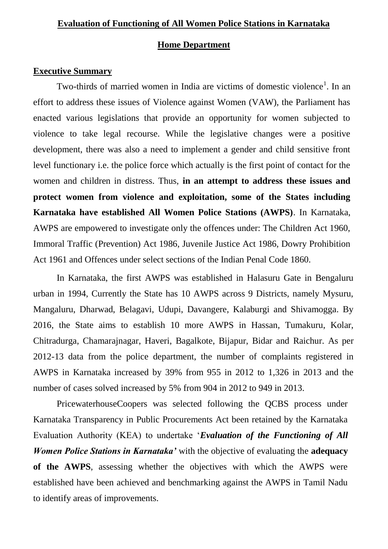# **Home Department**

### **Executive Summary**

Two-thirds of married women in India are victims of domestic violence<sup>1</sup>. In an effort to address these issues of Violence against Women (VAW), the Parliament has enacted various legislations that provide an opportunity for women subjected to violence to take legal recourse. While the legislative changes were a positive development, there was also a need to implement a gender and child sensitive front level functionary i.e. the police force which actually is the first point of contact for the women and children in distress. Thus, **in an attempt to address these issues and protect women from violence and exploitation, some of the States including Karnataka have established All Women Police Stations (AWPS)**. In Karnataka, AWPS are empowered to investigate only the offences under: The Children Act 1960, Immoral Traffic (Prevention) Act 1986, Juvenile Justice Act 1986, Dowry Prohibition Act 1961 and Offences under select sections of the Indian Penal Code 1860.

In Karnataka, the first AWPS was established in Halasuru Gate in Bengaluru urban in 1994, Currently the State has 10 AWPS across 9 Districts, namely Mysuru, Mangaluru, Dharwad, Belagavi, Udupi, Davangere, Kalaburgi and Shivamogga. By 2016, the State aims to establish 10 more AWPS in Hassan, Tumakuru, Kolar, Chitradurga, Chamarajnagar, Haveri, Bagalkote, Bijapur, Bidar and Raichur. As per 2012-13 data from the police department, the number of complaints registered in AWPS in Karnataka increased by 39% from 955 in 2012 to 1,326 in 2013 and the number of cases solved increased by 5% from 904 in 2012 to 949 in 2013.

PricewaterhouseCoopers was selected following the QCBS process under Karnataka Transparency in Public Procurements Act been retained by the Karnataka Evaluation Authority (KEA) to undertake '*Evaluation of the Functioning of All Women Police Stations in Karnataka'* with the objective of evaluating the **adequacy of the AWPS**, assessing whether the objectives with which the AWPS were established have been achieved and benchmarking against the AWPS in Tamil Nadu to identify areas of improvements.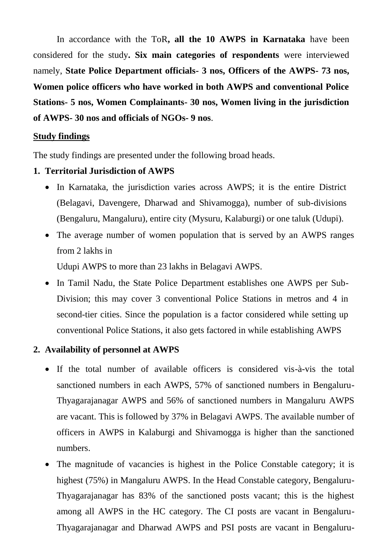In accordance with the ToR**, all the 10 AWPS in Karnataka** have been considered for the study**. Six main categories of respondents** were interviewed namely, **State Police Department officials- 3 nos, Officers of the AWPS- 73 nos, Women police officers who have worked in both AWPS and conventional Police Stations- 5 nos, Women Complainants- 30 nos, Women living in the jurisdiction of AWPS- 30 nos and officials of NGOs- 9 nos**.

## **Study findings**

The study findings are presented under the following broad heads.

# **1. Territorial Jurisdiction of AWPS**

- In Karnataka, the jurisdiction varies across AWPS; it is the entire District (Belagavi, Davengere, Dharwad and Shivamogga), number of sub-divisions (Bengaluru, Mangaluru), entire city (Mysuru, Kalaburgi) or one taluk (Udupi).
- The average number of women population that is served by an AWPS ranges from 2 lakhs in

Udupi AWPS to more than 23 lakhs in Belagavi AWPS.

• In Tamil Nadu, the State Police Department establishes one AWPS per Sub-Division; this may cover 3 conventional Police Stations in metros and 4 in second-tier cities. Since the population is a factor considered while setting up conventional Police Stations, it also gets factored in while establishing AWPS

# **2. Availability of personnel at AWPS**

- If the total number of available officers is considered vis-à-vis the total sanctioned numbers in each AWPS, 57% of sanctioned numbers in Bengaluru-Thyagarajanagar AWPS and 56% of sanctioned numbers in Mangaluru AWPS are vacant. This is followed by 37% in Belagavi AWPS. The available number of officers in AWPS in Kalaburgi and Shivamogga is higher than the sanctioned numbers.
- The magnitude of vacancies is highest in the Police Constable category; it is highest (75%) in Mangaluru AWPS. In the Head Constable category, Bengaluru-Thyagarajanagar has 83% of the sanctioned posts vacant; this is the highest among all AWPS in the HC category. The CI posts are vacant in Bengaluru-Thyagarajanagar and Dharwad AWPS and PSI posts are vacant in Bengaluru-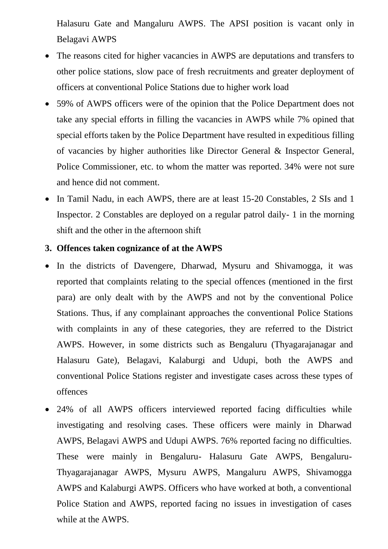Halasuru Gate and Mangaluru AWPS. The APSI position is vacant only in Belagavi AWPS

- The reasons cited for higher vacancies in AWPS are deputations and transfers to other police stations, slow pace of fresh recruitments and greater deployment of officers at conventional Police Stations due to higher work load
- 59% of AWPS officers were of the opinion that the Police Department does not take any special efforts in filling the vacancies in AWPS while 7% opined that special efforts taken by the Police Department have resulted in expeditious filling of vacancies by higher authorities like Director General & Inspector General, Police Commissioner, etc. to whom the matter was reported. 34% were not sure and hence did not comment.
- In Tamil Nadu, in each AWPS, there are at least 15-20 Constables, 2 SIs and 1 Inspector. 2 Constables are deployed on a regular patrol daily- 1 in the morning shift and the other in the afternoon shift

# **3. Offences taken cognizance of at the AWPS**

- In the districts of Davengere, Dharwad, Mysuru and Shivamogga, it was reported that complaints relating to the special offences (mentioned in the first para) are only dealt with by the AWPS and not by the conventional Police Stations. Thus, if any complainant approaches the conventional Police Stations with complaints in any of these categories, they are referred to the District AWPS. However, in some districts such as Bengaluru (Thyagarajanagar and Halasuru Gate), Belagavi, Kalaburgi and Udupi, both the AWPS and conventional Police Stations register and investigate cases across these types of offences
- 24% of all AWPS officers interviewed reported facing difficulties while investigating and resolving cases. These officers were mainly in Dharwad AWPS, Belagavi AWPS and Udupi AWPS. 76% reported facing no difficulties. These were mainly in Bengaluru- Halasuru Gate AWPS, Bengaluru-Thyagarajanagar AWPS, Mysuru AWPS, Mangaluru AWPS, Shivamogga AWPS and Kalaburgi AWPS. Officers who have worked at both, a conventional Police Station and AWPS, reported facing no issues in investigation of cases while at the AWPS.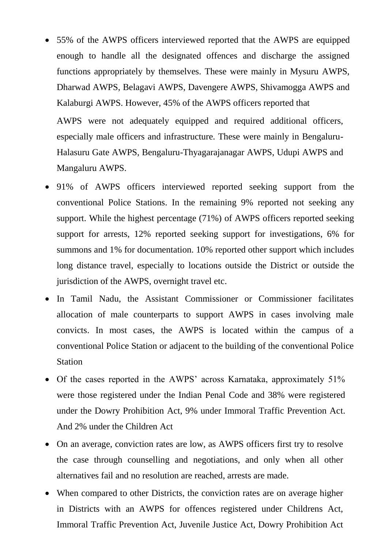55% of the AWPS officers interviewed reported that the AWPS are equipped enough to handle all the designated offences and discharge the assigned functions appropriately by themselves. These were mainly in Mysuru AWPS, Dharwad AWPS, Belagavi AWPS, Davengere AWPS, Shivamogga AWPS and Kalaburgi AWPS. However, 45% of the AWPS officers reported that

AWPS were not adequately equipped and required additional officers, especially male officers and infrastructure. These were mainly in Bengaluru-Halasuru Gate AWPS, Bengaluru-Thyagarajanagar AWPS, Udupi AWPS and Mangaluru AWPS.

- 91% of AWPS officers interviewed reported seeking support from the conventional Police Stations. In the remaining 9% reported not seeking any support. While the highest percentage (71%) of AWPS officers reported seeking support for arrests, 12% reported seeking support for investigations, 6% for summons and 1% for documentation. 10% reported other support which includes long distance travel, especially to locations outside the District or outside the jurisdiction of the AWPS, overnight travel etc.
- In Tamil Nadu, the Assistant Commissioner or Commissioner facilitates allocation of male counterparts to support AWPS in cases involving male convicts. In most cases, the AWPS is located within the campus of a conventional Police Station or adjacent to the building of the conventional Police Station
- Of the cases reported in the AWPS' across Karnataka, approximately 51% were those registered under the Indian Penal Code and 38% were registered under the Dowry Prohibition Act, 9% under Immoral Traffic Prevention Act. And 2% under the Children Act
- On an average, conviction rates are low, as AWPS officers first try to resolve the case through counselling and negotiations, and only when all other alternatives fail and no resolution are reached, arrests are made.
- When compared to other Districts, the conviction rates are on average higher in Districts with an AWPS for offences registered under Childrens Act, Immoral Traffic Prevention Act, Juvenile Justice Act, Dowry Prohibition Act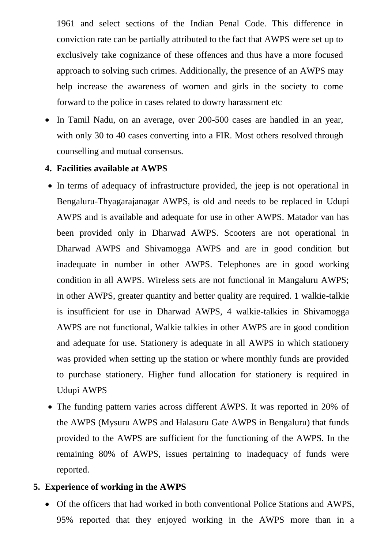1961 and select sections of the Indian Penal Code. This difference in conviction rate can be partially attributed to the fact that AWPS were set up to exclusively take cognizance of these offences and thus have a more focused approach to solving such crimes. Additionally, the presence of an AWPS may help increase the awareness of women and girls in the society to come forward to the police in cases related to dowry harassment etc

• In Tamil Nadu, on an average, over 200-500 cases are handled in an year, with only 30 to 40 cases converting into a FIR. Most others resolved through counselling and mutual consensus.

### **4. Facilities available at AWPS**

- In terms of adequacy of infrastructure provided, the jeep is not operational in Bengaluru-Thyagarajanagar AWPS, is old and needs to be replaced in Udupi AWPS and is available and adequate for use in other AWPS. Matador van has been provided only in Dharwad AWPS. Scooters are not operational in Dharwad AWPS and Shivamogga AWPS and are in good condition but inadequate in number in other AWPS. Telephones are in good working condition in all AWPS. Wireless sets are not functional in Mangaluru AWPS; in other AWPS, greater quantity and better quality are required. 1 walkie-talkie is insufficient for use in Dharwad AWPS, 4 walkie-talkies in Shivamogga AWPS are not functional, Walkie talkies in other AWPS are in good condition and adequate for use. Stationery is adequate in all AWPS in which stationery was provided when setting up the station or where monthly funds are provided to purchase stationery. Higher fund allocation for stationery is required in Udupi AWPS
- The funding pattern varies across different AWPS. It was reported in 20% of the AWPS (Mysuru AWPS and Halasuru Gate AWPS in Bengaluru) that funds provided to the AWPS are sufficient for the functioning of the AWPS. In the remaining 80% of AWPS, issues pertaining to inadequacy of funds were reported.

### **5. Experience of working in the AWPS**

 Of the officers that had worked in both conventional Police Stations and AWPS, 95% reported that they enjoyed working in the AWPS more than in a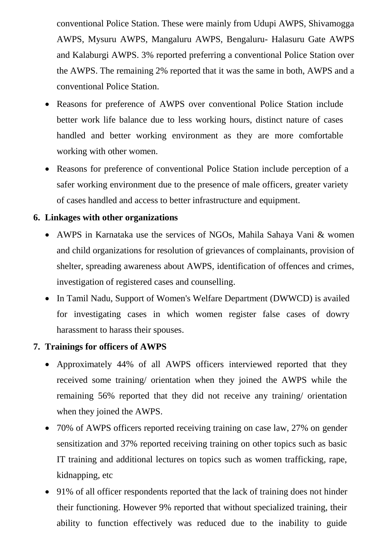conventional Police Station. These were mainly from Udupi AWPS, Shivamogga AWPS, Mysuru AWPS, Mangaluru AWPS, Bengaluru- Halasuru Gate AWPS and Kalaburgi AWPS. 3% reported preferring a conventional Police Station over the AWPS. The remaining 2% reported that it was the same in both, AWPS and a conventional Police Station.

- Reasons for preference of AWPS over conventional Police Station include better work life balance due to less working hours, distinct nature of cases handled and better working environment as they are more comfortable working with other women.
- Reasons for preference of conventional Police Station include perception of a safer working environment due to the presence of male officers, greater variety of cases handled and access to better infrastructure and equipment.

# **6. Linkages with other organizations**

- AWPS in Karnataka use the services of NGOs, Mahila Sahaya Vani & women and child organizations for resolution of grievances of complainants, provision of shelter, spreading awareness about AWPS, identification of offences and crimes, investigation of registered cases and counselling.
- In Tamil Nadu, Support of Women's Welfare Department (DWWCD) is availed for investigating cases in which women register false cases of dowry harassment to harass their spouses.

# **7. Trainings for officers of AWPS**

- Approximately 44% of all AWPS officers interviewed reported that they received some training/ orientation when they joined the AWPS while the remaining 56% reported that they did not receive any training/ orientation when they joined the AWPS.
- 70% of AWPS officers reported receiving training on case law, 27% on gender sensitization and 37% reported receiving training on other topics such as basic IT training and additional lectures on topics such as women trafficking, rape, kidnapping, etc
- 91% of all officer respondents reported that the lack of training does not hinder their functioning. However 9% reported that without specialized training, their ability to function effectively was reduced due to the inability to guide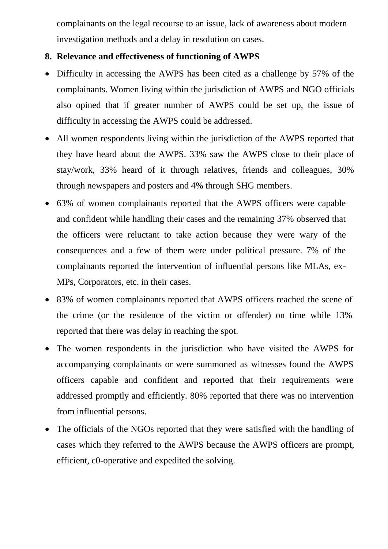complainants on the legal recourse to an issue, lack of awareness about modern investigation methods and a delay in resolution on cases.

# **8. Relevance and effectiveness of functioning of AWPS**

- Difficulty in accessing the AWPS has been cited as a challenge by 57% of the complainants. Women living within the jurisdiction of AWPS and NGO officials also opined that if greater number of AWPS could be set up, the issue of difficulty in accessing the AWPS could be addressed.
- All women respondents living within the jurisdiction of the AWPS reported that they have heard about the AWPS. 33% saw the AWPS close to their place of stay/work, 33% heard of it through relatives, friends and colleagues, 30% through newspapers and posters and 4% through SHG members.
- 63% of women complainants reported that the AWPS officers were capable and confident while handling their cases and the remaining 37% observed that the officers were reluctant to take action because they were wary of the consequences and a few of them were under political pressure. 7% of the complainants reported the intervention of influential persons like MLAs, ex-MPs, Corporators, etc. in their cases.
- 83% of women complainants reported that AWPS officers reached the scene of the crime (or the residence of the victim or offender) on time while 13% reported that there was delay in reaching the spot.
- The women respondents in the jurisdiction who have visited the AWPS for accompanying complainants or were summoned as witnesses found the AWPS officers capable and confident and reported that their requirements were addressed promptly and efficiently. 80% reported that there was no intervention from influential persons.
- The officials of the NGOs reported that they were satisfied with the handling of cases which they referred to the AWPS because the AWPS officers are prompt, efficient, c0-operative and expedited the solving.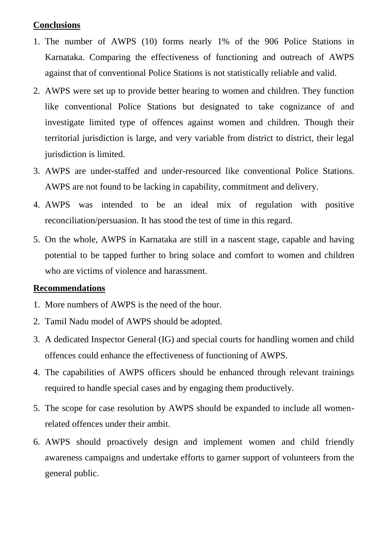# **Conclusions**

- 1. The number of AWPS (10) forms nearly 1% of the 906 Police Stations in Karnataka. Comparing the effectiveness of functioning and outreach of AWPS against that of conventional Police Stations is not statistically reliable and valid.
- 2. AWPS were set up to provide better hearing to women and children. They function like conventional Police Stations but designated to take cognizance of and investigate limited type of offences against women and children. Though their territorial jurisdiction is large, and very variable from district to district, their legal jurisdiction is limited.
- 3. AWPS are under-staffed and under-resourced like conventional Police Stations. AWPS are not found to be lacking in capability, commitment and delivery.
- 4. AWPS was intended to be an ideal mix of regulation with positive reconciliation/persuasion. It has stood the test of time in this regard.
- 5. On the whole, AWPS in Karnataka are still in a nascent stage, capable and having potential to be tapped further to bring solace and comfort to women and children who are victims of violence and harassment.

# **Recommendations**

- 1. More numbers of AWPS is the need of the hour.
- 2. Tamil Nadu model of AWPS should be adopted.
- 3. A dedicated Inspector General (IG) and special courts for handling women and child offences could enhance the effectiveness of functioning of AWPS.
- 4. The capabilities of AWPS officers should be enhanced through relevant trainings required to handle special cases and by engaging them productively.
- 5. The scope for case resolution by AWPS should be expanded to include all womenrelated offences under their ambit.
- 6. AWPS should proactively design and implement women and child friendly awareness campaigns and undertake efforts to garner support of volunteers from the general public.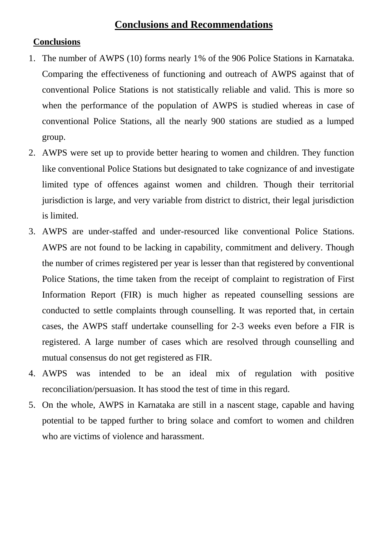# **Conclusions and Recommendations**

## **Conclusions**

- 1. The number of AWPS (10) forms nearly 1% of the 906 Police Stations in Karnataka. Comparing the effectiveness of functioning and outreach of AWPS against that of conventional Police Stations is not statistically reliable and valid. This is more so when the performance of the population of AWPS is studied whereas in case of conventional Police Stations, all the nearly 900 stations are studied as a lumped group.
- 2. AWPS were set up to provide better hearing to women and children. They function like conventional Police Stations but designated to take cognizance of and investigate limited type of offences against women and children. Though their territorial jurisdiction is large, and very variable from district to district, their legal jurisdiction is limited.
- 3. AWPS are under-staffed and under-resourced like conventional Police Stations. AWPS are not found to be lacking in capability, commitment and delivery. Though the number of crimes registered per year is lesser than that registered by conventional Police Stations, the time taken from the receipt of complaint to registration of First Information Report (FIR) is much higher as repeated counselling sessions are conducted to settle complaints through counselling. It was reported that, in certain cases, the AWPS staff undertake counselling for 2-3 weeks even before a FIR is registered. A large number of cases which are resolved through counselling and mutual consensus do not get registered as FIR.
- 4. AWPS was intended to be an ideal mix of regulation with positive reconciliation/persuasion. It has stood the test of time in this regard.
- 5. On the whole, AWPS in Karnataka are still in a nascent stage, capable and having potential to be tapped further to bring solace and comfort to women and children who are victims of violence and harassment.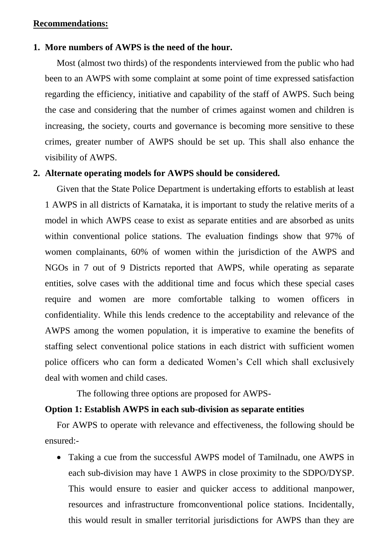### **Recommendations:**

### **1. More numbers of AWPS is the need of the hour.**

Most (almost two thirds) of the respondents interviewed from the public who had been to an AWPS with some complaint at some point of time expressed satisfaction regarding the efficiency, initiative and capability of the staff of AWPS. Such being the case and considering that the number of crimes against women and children is increasing, the society, courts and governance is becoming more sensitive to these crimes, greater number of AWPS should be set up. This shall also enhance the visibility of AWPS.

#### **2. Alternate operating models for AWPS should be considered.**

Given that the State Police Department is undertaking efforts to establish at least 1 AWPS in all districts of Karnataka, it is important to study the relative merits of a model in which AWPS cease to exist as separate entities and are absorbed as units within conventional police stations. The evaluation findings show that 97% of women complainants, 60% of women within the jurisdiction of the AWPS and NGOs in 7 out of 9 Districts reported that AWPS, while operating as separate entities, solve cases with the additional time and focus which these special cases require and women are more comfortable talking to women officers in confidentiality. While this lends credence to the acceptability and relevance of the AWPS among the women population, it is imperative to examine the benefits of staffing select conventional police stations in each district with sufficient women police officers who can form a dedicated Women's Cell which shall exclusively deal with women and child cases.

The following three options are proposed for AWPS-

### **Option 1: Establish AWPS in each sub-division as separate entities**

For AWPS to operate with relevance and effectiveness, the following should be ensured:-

 Taking a cue from the successful AWPS model of Tamilnadu, one AWPS in each sub-division may have 1 AWPS in close proximity to the SDPO/DYSP. This would ensure to easier and quicker access to additional manpower, resources and infrastructure fromconventional police stations. Incidentally, this would result in smaller territorial jurisdictions for AWPS than they are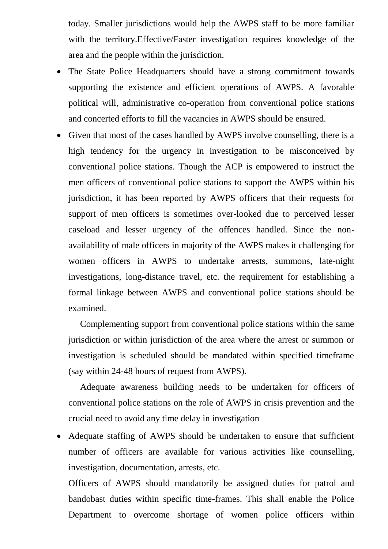today. Smaller jurisdictions would help the AWPS staff to be more familiar with the territory.Effective/Faster investigation requires knowledge of the area and the people within the jurisdiction.

- The State Police Headquarters should have a strong commitment towards supporting the existence and efficient operations of AWPS. A favorable political will, administrative co-operation from conventional police stations and concerted efforts to fill the vacancies in AWPS should be ensured.
- Given that most of the cases handled by AWPS involve counselling, there is a high tendency for the urgency in investigation to be misconceived by conventional police stations. Though the ACP is empowered to instruct the men officers of conventional police stations to support the AWPS within his jurisdiction, it has been reported by AWPS officers that their requests for support of men officers is sometimes over-looked due to perceived lesser caseload and lesser urgency of the offences handled. Since the nonavailability of male officers in majority of the AWPS makes it challenging for women officers in AWPS to undertake arrests, summons, late-night investigations, long-distance travel, etc. the requirement for establishing a formal linkage between AWPS and conventional police stations should be examined.

Complementing support from conventional police stations within the same jurisdiction or within jurisdiction of the area where the arrest or summon or investigation is scheduled should be mandated within specified timeframe (say within 24-48 hours of request from AWPS).

Adequate awareness building needs to be undertaken for officers of conventional police stations on the role of AWPS in crisis prevention and the crucial need to avoid any time delay in investigation

 Adequate staffing of AWPS should be undertaken to ensure that sufficient number of officers are available for various activities like counselling, investigation, documentation, arrests, etc.

Officers of AWPS should mandatorily be assigned duties for patrol and bandobast duties within specific time-frames. This shall enable the Police Department to overcome shortage of women police officers within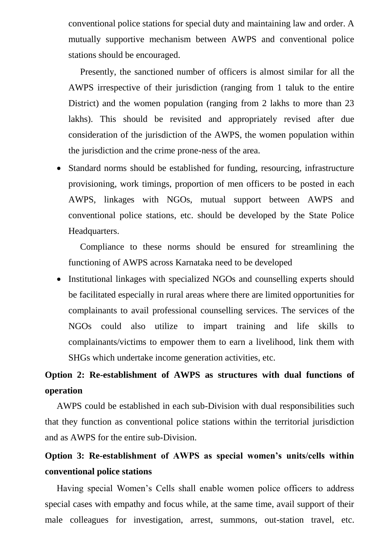conventional police stations for special duty and maintaining law and order. A mutually supportive mechanism between AWPS and conventional police stations should be encouraged.

Presently, the sanctioned number of officers is almost similar for all the AWPS irrespective of their jurisdiction (ranging from 1 taluk to the entire District) and the women population (ranging from 2 lakhs to more than 23 lakhs). This should be revisited and appropriately revised after due consideration of the jurisdiction of the AWPS, the women population within the jurisdiction and the crime prone-ness of the area.

 Standard norms should be established for funding, resourcing, infrastructure provisioning, work timings, proportion of men officers to be posted in each AWPS, linkages with NGOs, mutual support between AWPS and conventional police stations, etc. should be developed by the State Police Headquarters.

Compliance to these norms should be ensured for streamlining the functioning of AWPS across Karnataka need to be developed

• Institutional linkages with specialized NGOs and counselling experts should be facilitated especially in rural areas where there are limited opportunities for complainants to avail professional counselling services. The services of the NGOs could also utilize to impart training and life skills to complainants/victims to empower them to earn a livelihood, link them with SHGs which undertake income generation activities, etc.

# **Option 2: Re-establishment of AWPS as structures with dual functions of operation**

AWPS could be established in each sub-Division with dual responsibilities such that they function as conventional police stations within the territorial jurisdiction and as AWPS for the entire sub-Division.

# **Option 3: Re-establishment of AWPS as special women's units/cells within conventional police stations**

Having special Women's Cells shall enable women police officers to address special cases with empathy and focus while, at the same time, avail support of their male colleagues for investigation, arrest, summons, out-station travel, etc.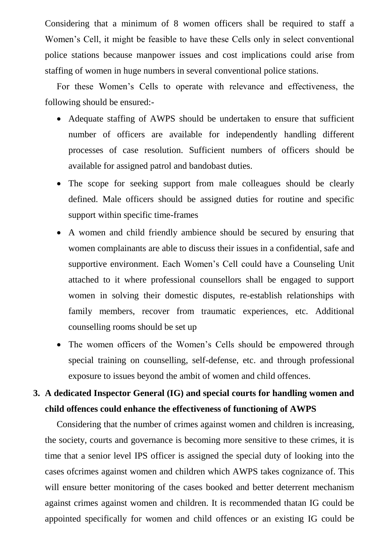Considering that a minimum of 8 women officers shall be required to staff a Women's Cell, it might be feasible to have these Cells only in select conventional police stations because manpower issues and cost implications could arise from staffing of women in huge numbers in several conventional police stations.

For these Women's Cells to operate with relevance and effectiveness, the following should be ensured:-

- Adequate staffing of AWPS should be undertaken to ensure that sufficient number of officers are available for independently handling different processes of case resolution. Sufficient numbers of officers should be available for assigned patrol and bandobast duties.
- The scope for seeking support from male colleagues should be clearly defined. Male officers should be assigned duties for routine and specific support within specific time-frames
- A women and child friendly ambience should be secured by ensuring that women complainants are able to discuss their issues in a confidential, safe and supportive environment. Each Women's Cell could have a Counseling Unit attached to it where professional counsellors shall be engaged to support women in solving their domestic disputes, re-establish relationships with family members, recover from traumatic experiences, etc. Additional counselling rooms should be set up
- The women officers of the Women's Cells should be empowered through special training on counselling, self-defense, etc. and through professional exposure to issues beyond the ambit of women and child offences.

# **3. A dedicated Inspector General (IG) and special courts for handling women and child offences could enhance the effectiveness of functioning of AWPS**

Considering that the number of crimes against women and children is increasing, the society, courts and governance is becoming more sensitive to these crimes, it is time that a senior level IPS officer is assigned the special duty of looking into the cases ofcrimes against women and children which AWPS takes cognizance of. This will ensure better monitoring of the cases booked and better deterrent mechanism against crimes against women and children. It is recommended thatan IG could be appointed specifically for women and child offences or an existing IG could be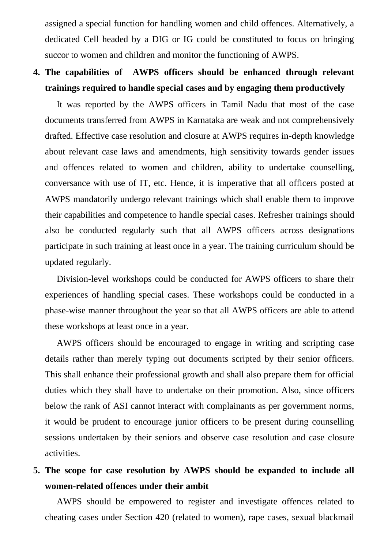assigned a special function for handling women and child offences. Alternatively, a dedicated Cell headed by a DIG or IG could be constituted to focus on bringing succor to women and children and monitor the functioning of AWPS.

# **4. The capabilities of AWPS officers should be enhanced through relevant trainings required to handle special cases and by engaging them productively**

It was reported by the AWPS officers in Tamil Nadu that most of the case documents transferred from AWPS in Karnataka are weak and not comprehensively drafted. Effective case resolution and closure at AWPS requires in-depth knowledge about relevant case laws and amendments, high sensitivity towards gender issues and offences related to women and children, ability to undertake counselling, conversance with use of IT, etc. Hence, it is imperative that all officers posted at AWPS mandatorily undergo relevant trainings which shall enable them to improve their capabilities and competence to handle special cases. Refresher trainings should also be conducted regularly such that all AWPS officers across designations participate in such training at least once in a year. The training curriculum should be updated regularly.

Division-level workshops could be conducted for AWPS officers to share their experiences of handling special cases. These workshops could be conducted in a phase-wise manner throughout the year so that all AWPS officers are able to attend these workshops at least once in a year.

AWPS officers should be encouraged to engage in writing and scripting case details rather than merely typing out documents scripted by their senior officers. This shall enhance their professional growth and shall also prepare them for official duties which they shall have to undertake on their promotion. Also, since officers below the rank of ASI cannot interact with complainants as per government norms, it would be prudent to encourage junior officers to be present during counselling sessions undertaken by their seniors and observe case resolution and case closure activities.

**5. The scope for case resolution by AWPS should be expanded to include all women-related offences under their ambit**

AWPS should be empowered to register and investigate offences related to cheating cases under Section 420 (related to women), rape cases, sexual blackmail